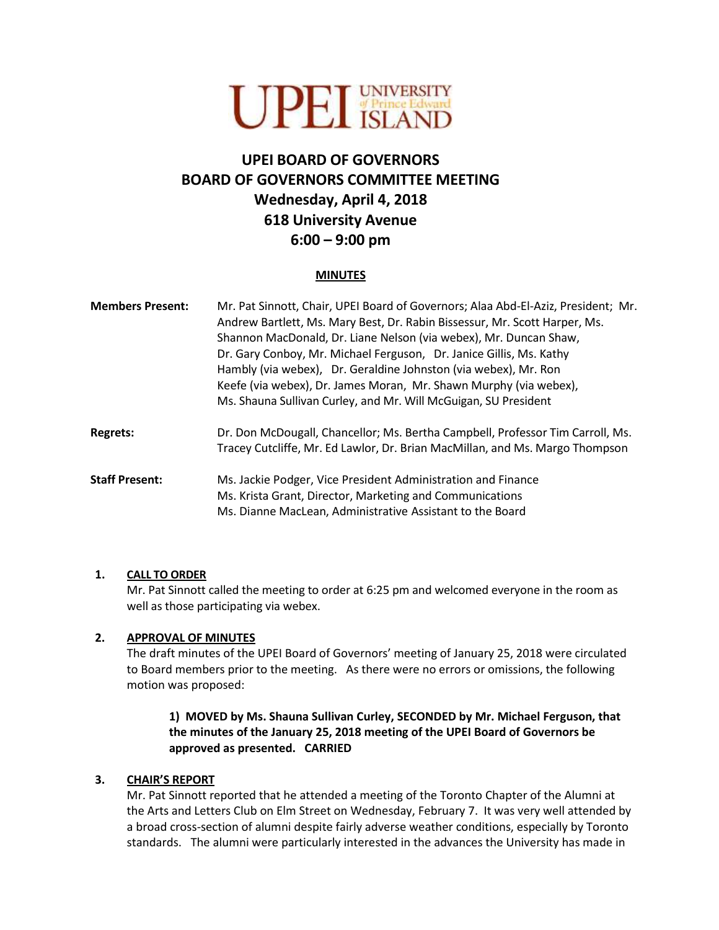

# **UPEI BOARD OF GOVERNORS BOARD OF GOVERNORS COMMITTEE MEETING Wednesday, April 4, 2018 618 University Avenue 6:00 – 9:00 pm**

#### **MINUTES**

| <b>Members Present:</b> | Mr. Pat Sinnott, Chair, UPEI Board of Governors; Alaa Abd-El-Aziz, President; Mr.<br>Andrew Bartlett, Ms. Mary Best, Dr. Rabin Bissessur, Mr. Scott Harper, Ms.<br>Shannon MacDonald, Dr. Liane Nelson (via webex), Mr. Duncan Shaw,<br>Dr. Gary Conboy, Mr. Michael Ferguson, Dr. Janice Gillis, Ms. Kathy<br>Hambly (via webex), Dr. Geraldine Johnston (via webex), Mr. Ron<br>Keefe (via webex), Dr. James Moran, Mr. Shawn Murphy (via webex),<br>Ms. Shauna Sullivan Curley, and Mr. Will McGuigan, SU President |
|-------------------------|------------------------------------------------------------------------------------------------------------------------------------------------------------------------------------------------------------------------------------------------------------------------------------------------------------------------------------------------------------------------------------------------------------------------------------------------------------------------------------------------------------------------|
| <b>Regrets:</b>         | Dr. Don McDougall, Chancellor; Ms. Bertha Campbell, Professor Tim Carroll, Ms.<br>Tracey Cutcliffe, Mr. Ed Lawlor, Dr. Brian MacMillan, and Ms. Margo Thompson                                                                                                                                                                                                                                                                                                                                                         |
| <b>Staff Present:</b>   | Ms. Jackie Podger, Vice President Administration and Finance<br>Ms. Krista Grant, Director, Marketing and Communications<br>Ms. Dianne MacLean, Administrative Assistant to the Board                                                                                                                                                                                                                                                                                                                                  |

#### **1. CALL TO ORDER**

Mr. Pat Sinnott called the meeting to order at 6:25 pm and welcomed everyone in the room as well as those participating via webex.

#### **2. APPROVAL OF MINUTES**

The draft minutes of the UPEI Board of Governors' meeting of January 25, 2018 were circulated to Board members prior to the meeting. As there were no errors or omissions, the following motion was proposed:

# **1) MOVED by Ms. Shauna Sullivan Curley, SECONDED by Mr. Michael Ferguson, that the minutes of the January 25, 2018 meeting of the UPEI Board of Governors be approved as presented. CARRIED**

#### **3. CHAIR'S REPORT**

Mr. Pat Sinnott reported that he attended a meeting of the Toronto Chapter of the Alumni at the Arts and Letters Club on Elm Street on Wednesday, February 7. It was very well attended by a broad cross-section of alumni despite fairly adverse weather conditions, especially by Toronto standards. The alumni were particularly interested in the advances the University has made in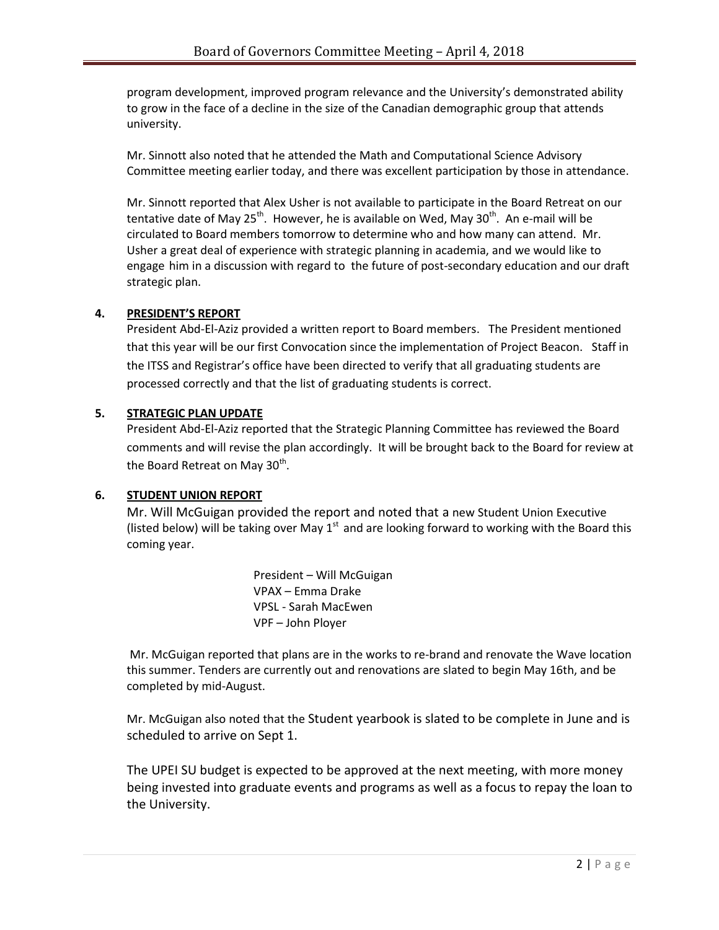program development, improved program relevance and the University's demonstrated ability to grow in the face of a decline in the size of the Canadian demographic group that attends university.

Mr. Sinnott also noted that he attended the Math and Computational Science Advisory Committee meeting earlier today, and there was excellent participation by those in attendance.

Mr. Sinnott reported that Alex Usher is not available to participate in the Board Retreat on our tentative date of May 25<sup>th</sup>. However, he is available on Wed, May 30<sup>th</sup>. An e-mail will be circulated to Board members tomorrow to determine who and how many can attend. Mr. Usher a great deal of experience with strategic planning in academia, and we would like to engage him in a discussion with regard to the future of post-secondary education and our draft strategic plan.

# **4. PRESIDENT'S REPORT**

President Abd-El-Aziz provided a written report to Board members. The President mentioned that this year will be our first Convocation since the implementation of Project Beacon. Staff in the ITSS and Registrar's office have been directed to verify that all graduating students are processed correctly and that the list of graduating students is correct.

## **5. STRATEGIC PLAN UPDATE**

President Abd-El-Aziz reported that the Strategic Planning Committee has reviewed the Board comments and will revise the plan accordingly. It will be brought back to the Board for review at the Board Retreat on May 30<sup>th</sup>.

#### **6. STUDENT UNION REPORT**

Mr. Will McGuigan provided the report and noted that a new Student Union Executive (listed below) will be taking over May  $1<sup>st</sup>$  and are looking forward to working with the Board this coming year.

> President – Will McGuigan VPAX – Emma Drake VPSL - Sarah MacEwen VPF – John Ployer

Mr. McGuigan reported that plans are in the works to re-brand and renovate the Wave location this summer. Tenders are currently out and renovations are slated to begin May 16th, and be completed by mid-August.

Mr. McGuigan also noted that the Student yearbook is slated to be complete in June and is scheduled to arrive on Sept 1.

The UPEI SU budget is expected to be approved at the next meeting, with more money being invested into graduate events and programs as well as a focus to repay the loan to the University.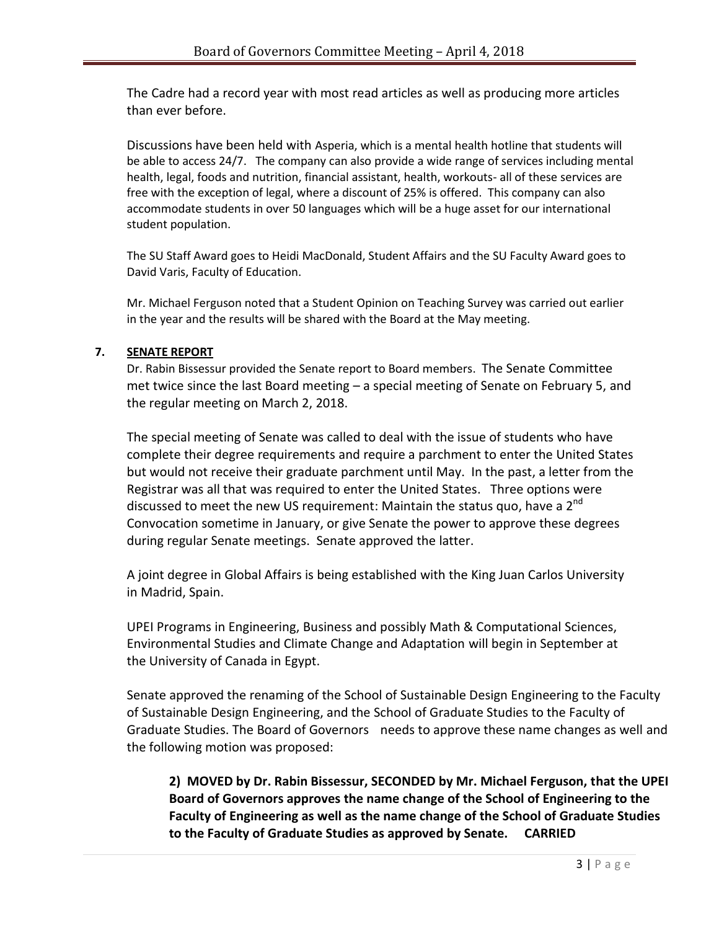The Cadre had a record year with most read articles as well as producing more articles than ever before.

Discussions have been held with Asperia, which is a mental health hotline that students will be able to access 24/7. The company can also provide a wide range of services including mental health, legal, foods and nutrition, financial assistant, health, workouts- all of these services are free with the exception of legal, where a discount of 25% is offered. This company can also accommodate students in over 50 languages which will be a huge asset for our international student population.

The SU Staff Award goes to Heidi MacDonald, Student Affairs and the SU Faculty Award goes to David Varis, Faculty of Education.

Mr. Michael Ferguson noted that a Student Opinion on Teaching Survey was carried out earlier in the year and the results will be shared with the Board at the May meeting.

# **7. SENATE REPORT**

Dr. Rabin Bissessur provided the Senate report to Board members. The Senate Committee met twice since the last Board meeting – a special meeting of Senate on February 5, and the regular meeting on March 2, 2018.

The special meeting of Senate was called to deal with the issue of students who have complete their degree requirements and require a parchment to enter the United States but would not receive their graduate parchment until May. In the past, a letter from the Registrar was all that was required to enter the United States. Three options were discussed to meet the new US requirement: Maintain the status quo, have a  $2^{nd}$ Convocation sometime in January, or give Senate the power to approve these degrees during regular Senate meetings. Senate approved the latter.

A joint degree in Global Affairs is being established with the King Juan Carlos University in Madrid, Spain.

UPEI Programs in Engineering, Business and possibly Math & Computational Sciences, Environmental Studies and Climate Change and Adaptation will begin in September at the University of Canada in Egypt.

Senate approved the renaming of the School of Sustainable Design Engineering to the Faculty of Sustainable Design Engineering, and the School of Graduate Studies to the Faculty of Graduate Studies. The Board of Governors needs to approve these name changes as well and the following motion was proposed:

**2) MOVED by Dr. Rabin Bissessur, SECONDED by Mr. Michael Ferguson, that the UPEI Board of Governors approves the name change of the School of Engineering to the Faculty of Engineering as well as the name change of the School of Graduate Studies to the Faculty of Graduate Studies as approved by Senate. CARRIED**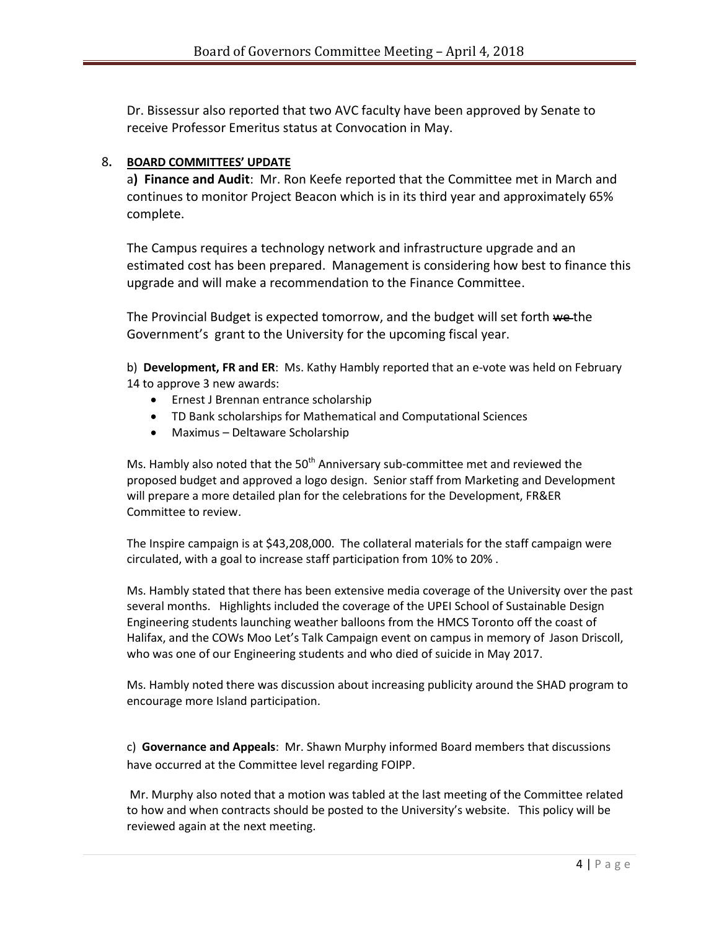Dr. Bissessur also reported that two AVC faculty have been approved by Senate to receive Professor Emeritus status at Convocation in May.

## 8**. BOARD COMMITTEES' UPDATE**

a**) Finance and Audit**: Mr. Ron Keefe reported that the Committee met in March and continues to monitor Project Beacon which is in its third year and approximately 65% complete.

The Campus requires a technology network and infrastructure upgrade and an estimated cost has been prepared. Management is considering how best to finance this upgrade and will make a recommendation to the Finance Committee.

The Provincial Budget is expected tomorrow, and the budget will set forth we the Government's grant to the University for the upcoming fiscal year.

b) **Development, FR and ER**: Ms. Kathy Hambly reported that an e-vote was held on February 14 to approve 3 new awards:

- **•** Ernest J Brennan entrance scholarship
- TD Bank scholarships for Mathematical and Computational Sciences
- Maximus Deltaware Scholarship

Ms. Hambly also noted that the  $50<sup>th</sup>$  Anniversary sub-committee met and reviewed the proposed budget and approved a logo design. Senior staff from Marketing and Development will prepare a more detailed plan for the celebrations for the Development, FR&ER Committee to review.

The Inspire campaign is at \$43,208,000. The collateral materials for the staff campaign were circulated, with a goal to increase staff participation from 10% to 20% .

Ms. Hambly stated that there has been extensive media coverage of the University over the past several months. Highlights included the coverage of the UPEI School of Sustainable Design Engineering students launching weather balloons from the HMCS Toronto off the coast of Halifax, and the COWs Moo Let's Talk Campaign event on campus in memory of Jason Driscoll, who was one of our Engineering students and who died of suicide in May 2017.

Ms. Hambly noted there was discussion about increasing publicity around the SHAD program to encourage more Island participation.

c) **Governance and Appeals**: Mr. Shawn Murphy informed Board members that discussions have occurred at the Committee level regarding FOIPP.

Mr. Murphy also noted that a motion was tabled at the last meeting of the Committee related to how and when contracts should be posted to the University's website. This policy will be reviewed again at the next meeting.